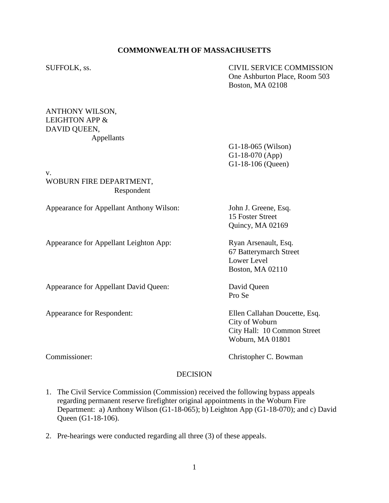## **COMMONWEALTH OF MASSACHUSETTS**

SUFFOLK, ss. CIVIL SERVICE COMMISSION One Ashburton Place, Room 503 Boston, MA 02108

## ANTHONY WILSON, LEIGHTON APP & DAVID QUEEN, Appellants

G1-18-065 (Wilson) G1-18-070 (App) G1-18-106 (Queen)

v. WOBURN FIRE DEPARTMENT, Respondent

Appearance for Appellant Anthony Wilson: John J. Greene, Esq.

Appearance for Appellant Leighton App: Ryan Arsenault, Esq.

Appearance for Appellant David Queen: David Queen

15 Foster Street Quincy, MA 02169

67 Batterymarch Street Lower Level Boston, MA 02110

Pro Se

Appearance for Respondent: Ellen Callahan Doucette, Esq. City of Woburn City Hall: 10 Common Street Woburn, MA 01801

Commissioner: Commissioner: Christopher C. Bowman

## **DECISION**

- 1. The Civil Service Commission (Commission) received the following bypass appeals regarding permanent reserve firefighter original appointments in the Woburn Fire Department: a) Anthony Wilson (G1-18-065); b) Leighton App (G1-18-070); and c) David Queen (G1-18-106).
- 2. Pre-hearings were conducted regarding all three (3) of these appeals.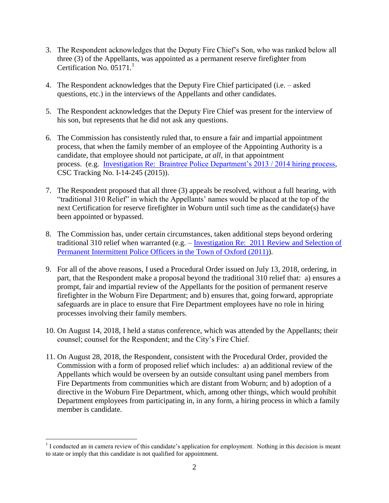- 3. The Respondent acknowledges that the Deputy Fire Chief's Son, who was ranked below all three (3) of the Appellants, was appointed as a permanent reserve firefighter from Certification No. 05171.<sup>1</sup>
- 4. The Respondent acknowledges that the Deputy Fire Chief participated (i.e. asked questions, etc.) in the interviews of the Appellants and other candidates.
- 5. The Respondent acknowledges that the Deputy Fire Chief was present for the interview of his son, but represents that he did not ask any questions.
- 6. The Commission has consistently ruled that, to ensure a fair and impartial appointment process, that when the family member of an employee of the Appointing Authority is a candidate, that employee should not participate, *at all*, in that appointment process. (e.g. Investigation Re: [Braintree Police Department's 2013 / 2014 hiring process,](https://www.mass.gov/files/documents/2016/07/ur/braintree-investigation-021915.pdf) CSC Tracking No. I-14-245 (2015)).
- 7. The Respondent proposed that all three (3) appeals be resolved, without a full hearing, with "traditional 310 Relief" in which the Appellants' names would be placed at the top of the next Certification for reserve firefighter in Woburn until such time as the candidate(s) have been appointed or bypassed.
- 8. The Commission has, under certain circumstances, taken additional steps beyond ordering traditional 310 relief when warranted (e.g. – Investigation Re: [2011 Review and Selection of](https://www.mass.gov/files/documents/2017/12/06/oxford-investigation-093011.pdf)  [Permanent Intermittent Police Officers in the Town of Oxford \(2011\)\)](https://www.mass.gov/files/documents/2017/12/06/oxford-investigation-093011.pdf).
- 9. For all of the above reasons, I used a Procedural Order issued on July 13, 2018, ordering, in part, that the Respondent make a proposal beyond the traditional 310 relief that: a) ensures a prompt, fair and impartial review of the Appellants for the position of permanent reserve firefighter in the Woburn Fire Department; and b) ensures that, going forward, appropriate safeguards are in place to ensure that Fire Department employees have no role in hiring processes involving their family members.
- 10. On August 14, 2018, I held a status conference, which was attended by the Appellants; their counsel; counsel for the Respondent; and the City's Fire Chief.
- 11. On August 28, 2018, the Respondent, consistent with the Procedural Order, provided the Commission with a form of proposed relief which includes: a) an additional review of the Appellants which would be overseen by an outside consultant using panel members from Fire Departments from communities which are distant from Woburn; and b) adoption of a directive in the Woburn Fire Department, which, among other things, which would prohibit Department employees from participating in, in any form, a hiring process in which a family member is candidate.

 $\overline{a}$  $<sup>1</sup>$  I conducted an in camera review of this candidate's application for employment. Nothing in this decision is meant</sup> to state or imply that this candidate is not qualified for appointment.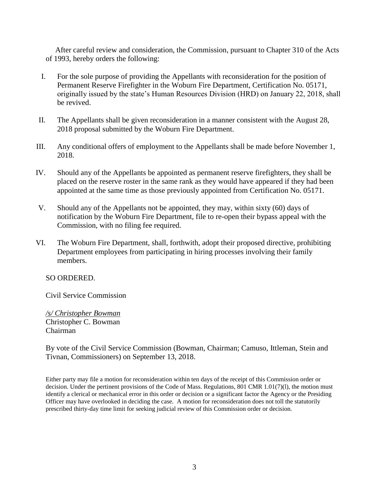After careful review and consideration, the Commission, pursuant to Chapter 310 of the Acts of 1993, hereby orders the following:

- I. For the sole purpose of providing the Appellants with reconsideration for the position of Permanent Reserve Firefighter in the Woburn Fire Department, Certification No. 05171, originally issued by the state's Human Resources Division (HRD) on January 22, 2018, shall be revived.
- II. The Appellants shall be given reconsideration in a manner consistent with the August 28, 2018 proposal submitted by the Woburn Fire Department.
- III. Any conditional offers of employment to the Appellants shall be made before November 1, 2018.
- IV. Should any of the Appellants be appointed as permanent reserve firefighters, they shall be placed on the reserve roster in the same rank as they would have appeared if they had been appointed at the same time as those previously appointed from Certification No. 05171.
- V. Should any of the Appellants not be appointed, they may, within sixty (60) days of notification by the Woburn Fire Department, file to re-open their bypass appeal with the Commission, with no filing fee required.
- VI. The Woburn Fire Department, shall, forthwith, adopt their proposed directive, prohibiting Department employees from participating in hiring processes involving their family members.

SO ORDERED.

Civil Service Commission

*/s/ Christopher Bowman* Christopher C. Bowman Chairman

By vote of the Civil Service Commission (Bowman, Chairman; Camuso, Ittleman, Stein and Tivnan, Commissioners) on September 13, 2018.

Either party may file a motion for reconsideration within ten days of the receipt of this Commission order or decision. Under the pertinent provisions of the Code of Mass. Regulations, 801 CMR 1.01(7)(l), the motion must identify a clerical or mechanical error in this order or decision or a significant factor the Agency or the Presiding Officer may have overlooked in deciding the case. A motion for reconsideration does not toll the statutorily prescribed thirty-day time limit for seeking judicial review of this Commission order or decision.